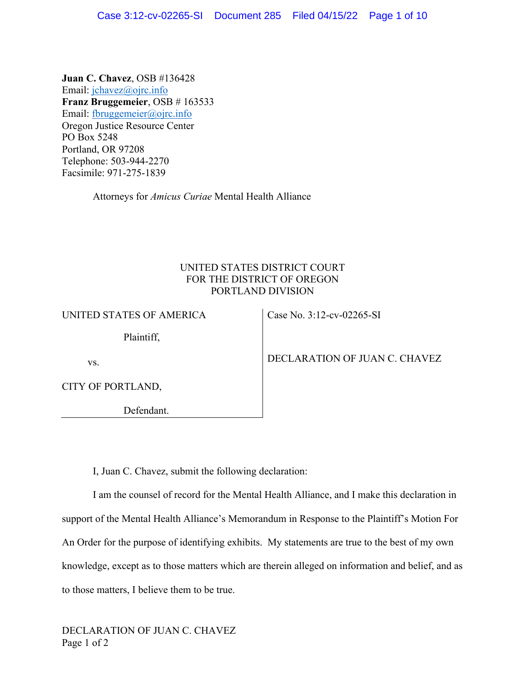**Juan C. Chavez**, OSB #136428 Email: jchavez@ojrc.info **Franz Bruggemeier**, OSB # 163533 Email: fbruggemeier@ojrc.info Oregon Justice Resource Center PO Box 5248 Portland, OR 97208 Telephone: 503-944-2270 Facsimile: 971-275-1839

Attorneys for *Amicus Curiae* Mental Health Alliance

# UNITED STATES DISTRICT COURT FOR THE DISTRICT OF OREGON PORTLAND DIVISION

| UNITED STATES OF AMERICA | Case No. 3:12-cv-02265-SI     |
|--------------------------|-------------------------------|
| Plaintiff,               |                               |
| VS.                      | DECLARATION OF JUAN C. CHAVEZ |
| CITY OF PORTLAND,        |                               |
| Defendant.               |                               |
|                          |                               |
|                          |                               |

I, Juan C. Chavez, submit the following declaration:

I am the counsel of record for the Mental Health Alliance, and I make this declaration in support of the Mental Health Alliance's Memorandum in Response to the Plaintiff's Motion For An Order for the purpose of identifying exhibits. My statements are true to the best of my own knowledge, except as to those matters which are therein alleged on information and belief, and as to those matters, I believe them to be true.

DECLARATION OF JUAN C. CHAVEZ Page 1 of 2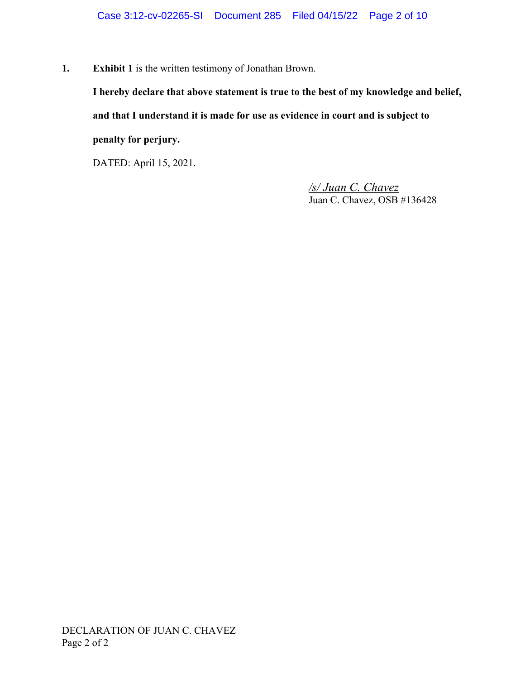**1. Exhibit 1** is the written testimony of Jonathan Brown.

**I hereby declare that above statement is true to the best of my knowledge and belief, and that I understand it is made for use as evidence in court and is subject to penalty for perjury.**

DATED: April 15, 2021.

*/s/ Juan C. Chavez* Juan C. Chavez, OSB #136428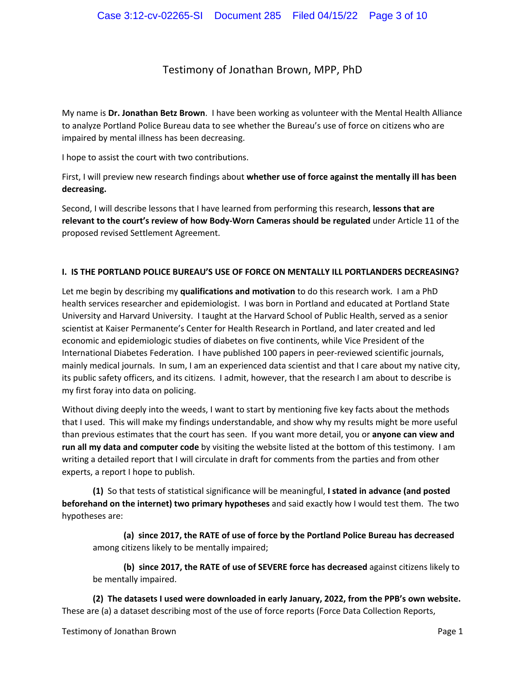## Testimony of Jonathan Brown, MPP, PhD

My name is **Dr. Jonathan Betz Brown**. I have been working as volunteer with the Mental Health Alliance to analyze Portland Police Bureau data to see whether the Bureau's use of force on citizens who are impaired by mental illness has been decreasing.

I hope to assist the court with two contributions.

First, I will preview new research findings about **whether use of force against the mentally ill has been decreasing.**

Second, I will describe lessons that I have learned from performing this research, **lessons that are relevant to the court's review of how Body-Worn Cameras should be regulated** under Article 11 of the proposed revised Settlement Agreement.

#### **I. IS THE PORTLAND POLICE BUREAU'S USE OF FORCE ON MENTALLY ILL PORTLANDERS DECREASING?**

Let me begin by describing my **qualifications and motivation** to do this research work. I am a PhD health services researcher and epidemiologist. I was born in Portland and educated at Portland State University and Harvard University. I taught at the Harvard School of Public Health, served as a senior scientist at Kaiser Permanente's Center for Health Research in Portland, and later created and led economic and epidemiologic studies of diabetes on five continents, while Vice President of the International Diabetes Federation. I have published 100 papers in peer-reviewed scientific journals, mainly medical journals. In sum, I am an experienced data scientist and that I care about my native city, its public safety officers, and its citizens. I admit, however, that the research I am about to describe is my first foray into data on policing.

Without diving deeply into the weeds, I want to start by mentioning five key facts about the methods that I used. This will make my findings understandable, and show why my results might be more useful than previous estimates that the court has seen. If you want more detail, you or **anyone can view and run all my data and computer code** by visiting the website listed at the bottom of this testimony. I am writing a detailed report that I will circulate in draft for comments from the parties and from other experts, a report I hope to publish.

**(1)** So that tests of statistical significance will be meaningful, **I stated in advance (and posted beforehand on the internet) two primary hypotheses** and said exactly how I would test them. The two hypotheses are:

**(a) since 2017, the RATE of use of force by the Portland Police Bureau has decreased** among citizens likely to be mentally impaired;

**(b) since 2017, the RATE of use of SEVERE force has decreased** against citizens likely to be mentally impaired.

**(2) The datasets I used were downloaded in early January, 2022, from the PPB's own website.** These are (a) a dataset describing most of the use of force reports (Force Data Collection Reports,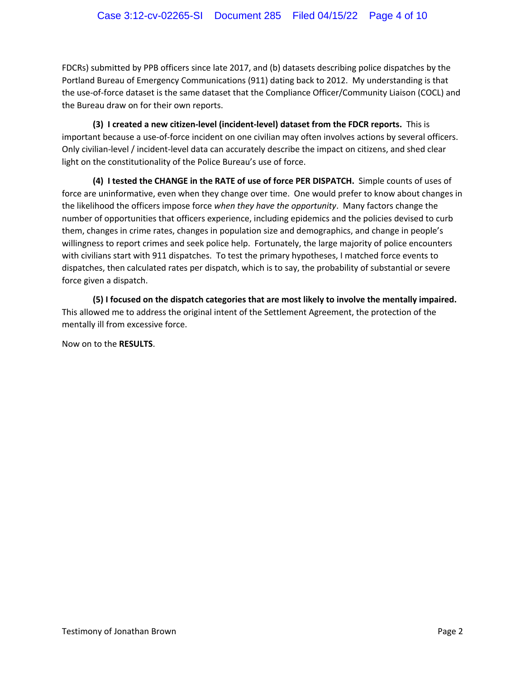FDCRs) submitted by PPB officers since late 2017, and (b) datasets describing police dispatches by the Portland Bureau of Emergency Communications (911) dating back to 2012. My understanding is that the use-of-force dataset is the same dataset that the Compliance Officer/Community Liaison (COCL) and the Bureau draw on for their own reports.

**(3) I created a new citizen-level (incident-level) dataset from the FDCR reports.** This is important because a use-of-force incident on one civilian may often involves actions by several officers. Only civilian-level / incident-level data can accurately describe the impact on citizens, and shed clear light on the constitutionality of the Police Bureau's use of force.

**(4) I tested the CHANGE in the RATE of use of force PER DISPATCH.** Simple counts of uses of force are uninformative, even when they change over time. One would prefer to know about changes in the likelihood the officers impose force *when they have the opportunity*. Many factors change the number of opportunities that officers experience, including epidemics and the policies devised to curb them, changes in crime rates, changes in population size and demographics, and change in people's willingness to report crimes and seek police help. Fortunately, the large majority of police encounters with civilians start with 911 dispatches. To test the primary hypotheses, I matched force events to dispatches, then calculated rates per dispatch, which is to say, the probability of substantial or severe force given a dispatch.

**(5) I focused on the dispatch categories that are most likely to involve the mentally impaired.** This allowed me to address the original intent of the Settlement Agreement, the protection of the mentally ill from excessive force.

Now on to the **RESULTS**.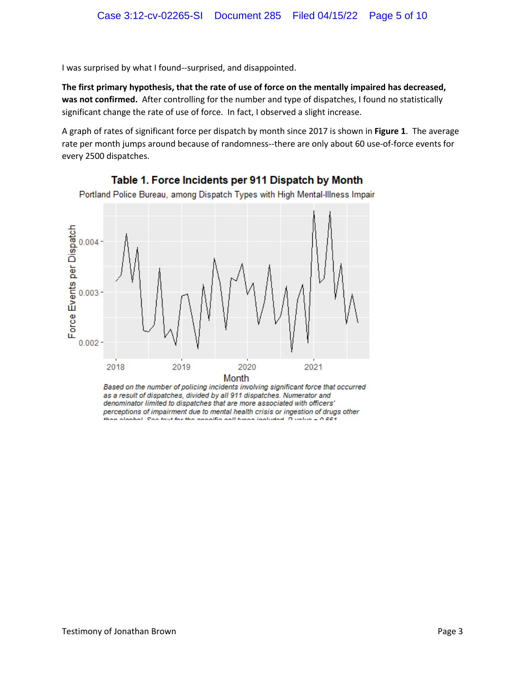I was surprised by what I found--surprised, and disappointed.

**The first primary hypothesis, that the rate of use of force on the mentally impaired has decreased, was not confirmed.** After controlling for the number and type of dispatches, I found no statistically significant change the rate of use of force. In fact, I observed a slight increase.

A graph of rates of significant force per dispatch by month since 2017 is shown in **Figure 1**. The average rate per month jumps around because of randomness--there are only about 60 use-of-force events for every 2500 dispatches.



Table 1. Force Incidents per 911 Dispatch by Month

Portland Police Bureau, among Dispatch Types with High Mental-Illness Impair

Based on the number of policing incidents involving significant force that occurred as a result of dispatches, divided by all 911 dispatches. Numerator and denominator limited to dispatches that are more associated with officers' perceptions of impairment due to mental health crisis or ingestion of drugs other than algohol. Can tout for the annoitie golf tunns included. Dunlin = 0.004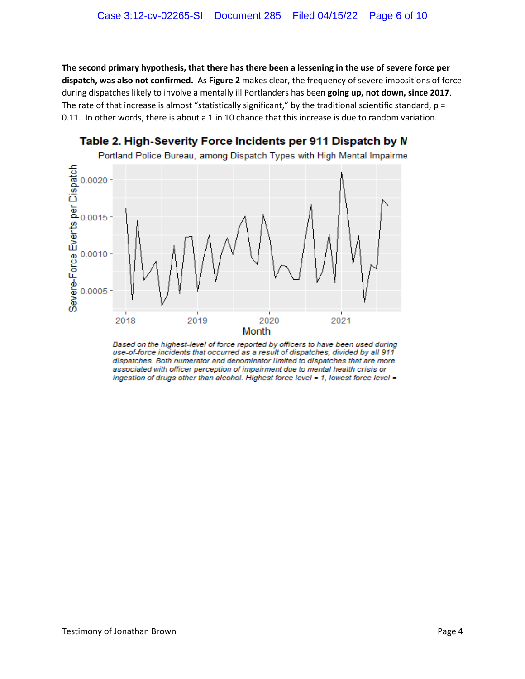**The second primary hypothesis, that there has there been a lessening in the use of severe force per dispatch, was also not confirmed.** As **Figure 2** makes clear, the frequency of severe impositions of force during dispatches likely to involve a mentally ill Portlanders has been **going up, not down, since 2017**. The rate of that increase is almost "statistically significant," by the traditional scientific standard,  $p =$ 0.11. In other words, there is about a 1 in 10 chance that this increase is due to random variation.



Table 2. High-Severity Force Incidents per 911 Dispatch by N

Based on the highest-level of force reported by officers to have been used during use-of-force incidents that occurred as a result of dispatches, divided by all 911 dispatches. Both numerator and denominator limited to dispatches that are more associated with officer perception of impairment due to mental health crisis or ingestion of drugs other than alcohol. Highest force level = 1, lowest force level =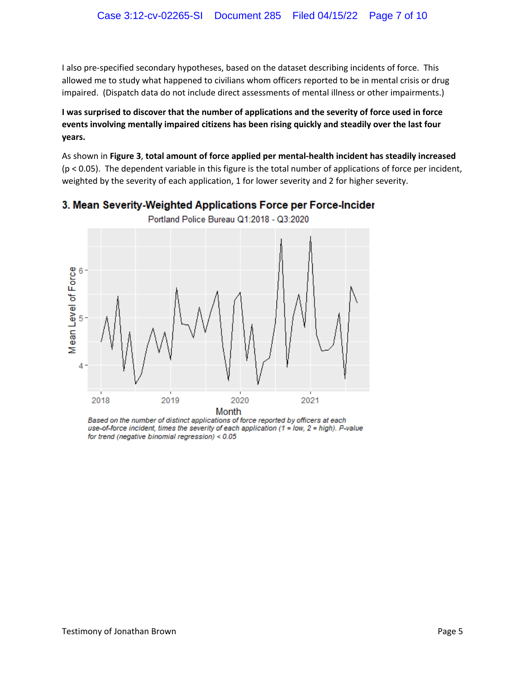I also pre-specified secondary hypotheses, based on the dataset describing incidents of force. This allowed me to study what happened to civilians whom officers reported to be in mental crisis or drug impaired. (Dispatch data do not include direct assessments of mental illness or other impairments.)

**I was surprised to discover that the number of applications and the severity of force used in force events involving mentally impaired citizens has been rising quickly and steadily over the last four years.**

As shown in **Figure 3**, **total amount of force applied per mental-health incident has steadily increased** (p < 0.05). The dependent variable in this figure is the total number of applications of force per incident, weighted by the severity of each application, 1 for lower severity and 2 for higher severity.



# 3. Mean Severity-Weighted Applications Force per Force-Incider

Based on the number of distinct applications of force reported by officers at each use-of-force incident, times the severity of each application (1 = low, 2 = high). P-value for trend (negative binomial regression) < 0.05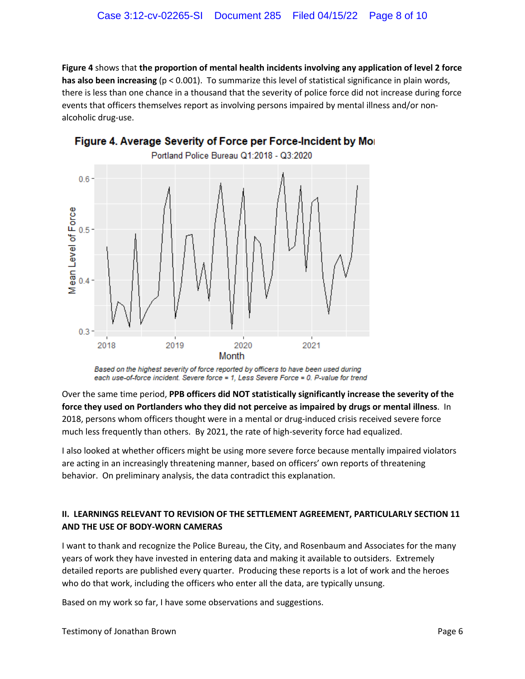**Figure 4** shows that **the proportion of mental health incidents involving any application of level 2 force has also been increasing** (p < 0.001). To summarize this level of statistical significance in plain words, there is less than one chance in a thousand that the severity of police force did not increase during force events that officers themselves report as involving persons impaired by mental illness and/or nonalcoholic drug-use.



Figure 4. Average Severity of Force per Force-Incident by Mor

Over the same time period, **PPB officers did NOT statistically significantly increase the severity of the force they used on Portlanders who they did not perceive as impaired by drugs or mental illness**. In 2018, persons whom officers thought were in a mental or drug-induced crisis received severe force much less frequently than others. By 2021, the rate of high-severity force had equalized.

I also looked at whether officers might be using more severe force because mentally impaired violators are acting in an increasingly threatening manner, based on officers' own reports of threatening behavior. On preliminary analysis, the data contradict this explanation.

### **II. LEARNINGS RELEVANT TO REVISION OF THE SETTLEMENT AGREEMENT, PARTICULARLY SECTION 11 AND THE USE OF BODY-WORN CAMERAS**

I want to thank and recognize the Police Bureau, the City, and Rosenbaum and Associates for the many years of work they have invested in entering data and making it available to outsiders. Extremely detailed reports are published every quarter. Producing these reports is a lot of work and the heroes who do that work, including the officers who enter all the data, are typically unsung.

Based on my work so far, I have some observations and suggestions.

Based on the highest severity of force reported by officers to have been used during each use-of-force incident. Severe force = 1, Less Severe Force = 0. P-value for trend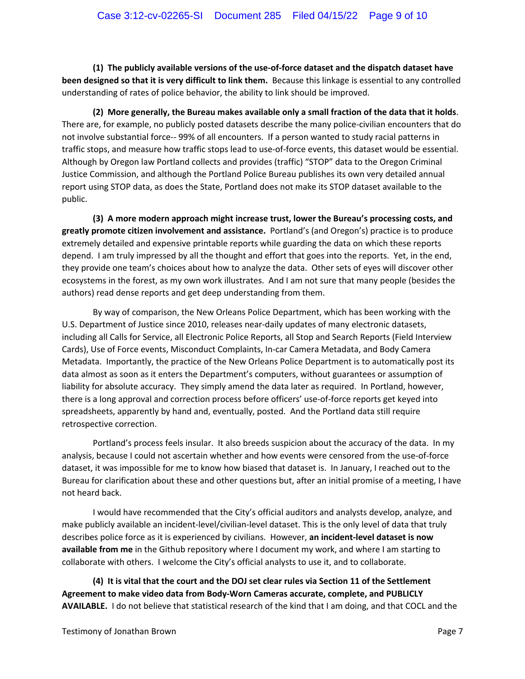**(1) The publicly available versions of the use-of-force dataset and the dispatch dataset have been designed so that it is very difficult to link them.** Because this linkage is essential to any controlled understanding of rates of police behavior, the ability to link should be improved.

**(2) More generally, the Bureau makes available only a small fraction of the data that it holds**. There are, for example, no publicly posted datasets describe the many police-civilian encounters that do not involve substantial force-- 99% of all encounters. If a person wanted to study racial patterns in traffic stops, and measure how traffic stops lead to use-of-force events, this dataset would be essential. Although by Oregon law Portland collects and provides (traffic) "STOP" data to the Oregon Criminal Justice Commission, and although the Portland Police Bureau publishes its own very detailed annual report using STOP data, as does the State, Portland does not make its STOP dataset available to the public.

**(3) A more modern approach might increase trust, lower the Bureau's processing costs, and greatly promote citizen involvement and assistance.** Portland's (and Oregon's) practice is to produce extremely detailed and expensive printable reports while guarding the data on which these reports depend. I am truly impressed by all the thought and effort that goes into the reports. Yet, in the end, they provide one team's choices about how to analyze the data. Other sets of eyes will discover other ecosystems in the forest, as my own work illustrates. And I am not sure that many people (besides the authors) read dense reports and get deep understanding from them.

By way of comparison, the New Orleans Police Department, which has been working with the U.S. Department of Justice since 2010, releases near-daily updates of many electronic datasets, including all Calls for Service, all Electronic Police Reports, all Stop and Search Reports (Field Interview Cards), Use of Force events, Misconduct Complaints, In-car Camera Metadata, and Body Camera Metadata. Importantly, the practice of the New Orleans Police Department is to automatically post its data almost as soon as it enters the Department's computers, without guarantees or assumption of liability for absolute accuracy. They simply amend the data later as required. In Portland, however, there is a long approval and correction process before officers' use-of-force reports get keyed into spreadsheets, apparently by hand and, eventually, posted. And the Portland data still require retrospective correction.

Portland's process feels insular. It also breeds suspicion about the accuracy of the data. In my analysis, because I could not ascertain whether and how events were censored from the use-of-force dataset, it was impossible for me to know how biased that dataset is. In January, I reached out to the Bureau for clarification about these and other questions but, after an initial promise of a meeting, I have not heard back.

I would have recommended that the City's official auditors and analysts develop, analyze, and make publicly available an incident-level/civilian-level dataset. This is the only level of data that truly describes police force as it is experienced by civilians. However, **an incident-level dataset is now available from me** in the Github repository where I document my work, and where I am starting to collaborate with others. I welcome the City's official analysts to use it, and to collaborate.

**(4) It is vital that the court and the DOJ set clear rules via Section 11 of the Settlement Agreement to make video data from Body-Worn Cameras accurate, complete, and PUBLICLY AVAILABLE.** I do not believe that statistical research of the kind that I am doing, and that COCL and the